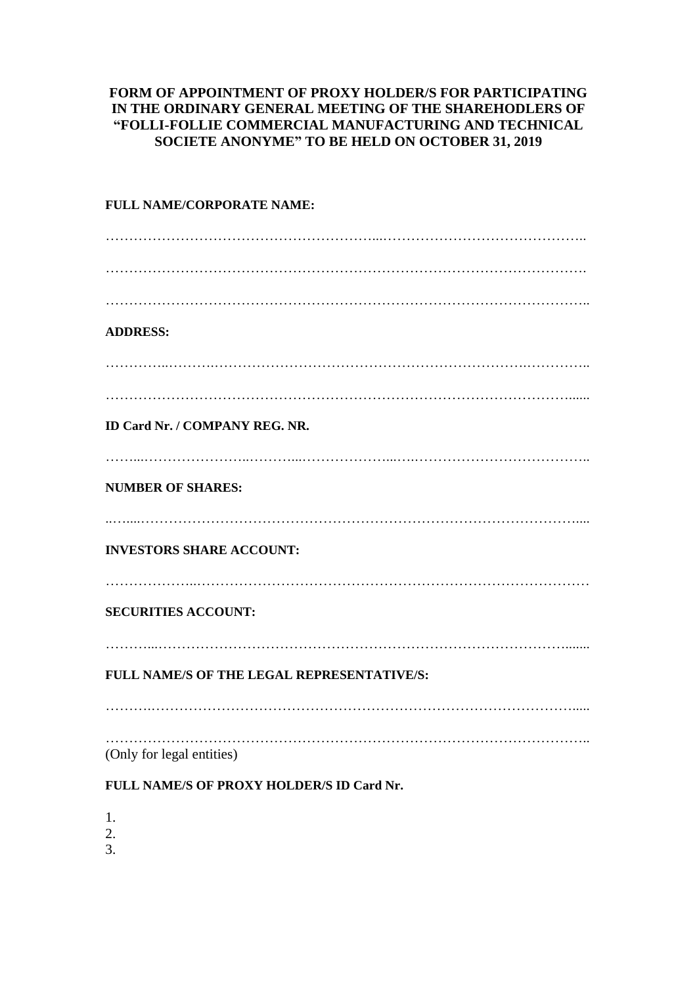## **FORM OF APPOINTMENT OF PROXY HOLDER/S FOR PARTICIPATING IN THE ORDINARY GENERAL MEETING OF THE SHAREHODLERS OF "FOLLI-FOLLIE COMMERCIAL MANUFACTURING AND TECHNICAL SOCIETE ANONYME" TO BE HELD ON OCTOBER 31, 2019**

## **FULL NAME/CORPORATE NAME:** …………………………………………………...…………………………………….. …………………………………………………………………………………………. ………………………………………………………………………………………….. **ADDRESS:** …………..……….………………………………………………………….………….. ………………………………………………………………………………………...... **ID Card Nr. / COMPANY REG. NR.** ……...…………………..………...………………...….……………………………….. **NUMBER OF SHARES:** ..…....………………………………………………………………………………….... **INVESTORS SHARE ACCOUNT:** ………………..………………………………………………………………………… **SECURITIES ACCOUNT:** ………...……………………………………………………………………………....... **FULL NAME/S OF THE LEGAL REPRESENTATIVE/S:** ……….………………………………………………………………………………..... ………………………………………………………………………………………….. (Only for legal entities) **FULL NAME/S OF PROXY HOLDER/S ID Card Nr.** 1.

- 2.
- 3.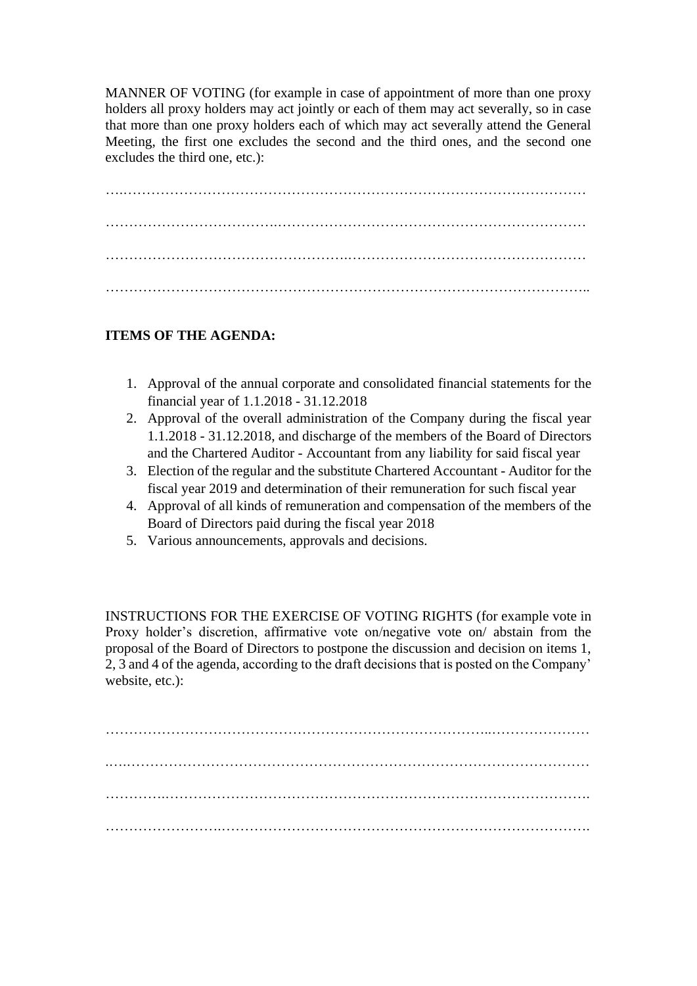MANNER OF VOTING (for example in case of appointment of more than one proxy holders all proxy holders may act jointly or each of them may act severally, so in case that more than one proxy holders each of which may act severally attend the General Meeting, the first one excludes the second and the third ones, and the second one excludes the third one, etc.):

….……………………………………………………………………………………… ……………………………….………………………………………………………… …………………………………………….…………………………………………… …………………………………………………………………………………………..

## **ITEMS OF THE AGENDA:**

- 1. Approval of the annual corporate and consolidated financial statements for the financial year of 1.1.2018 - 31.12.2018
- 2. Approval of the overall administration of the Company during the fiscal year 1.1.2018 - 31.12.2018, and discharge of the members of the Board of Directors and the Chartered Auditor - Accountant from any liability for said fiscal year
- 3. Election of the regular and the substitute Chartered Accountant Auditor for the fiscal year 2019 and determination of their remuneration for such fiscal year
- 4. Approval of all kinds of remuneration and compensation of the members of the Board of Directors paid during the fiscal year 2018
- 5. Various announcements, approvals and decisions.

INSTRUCTIONS FOR THE EXERCISE OF VOTING RIGHTS (for example vote in Proxy holder's discretion, affirmative vote on/negative vote on/ abstain from the proposal of the Board of Directors to postpone the discussion and decision on items 1, 2, 3 and 4 of the agenda, according to the draft decisions that is posted on the Company' website, etc.):